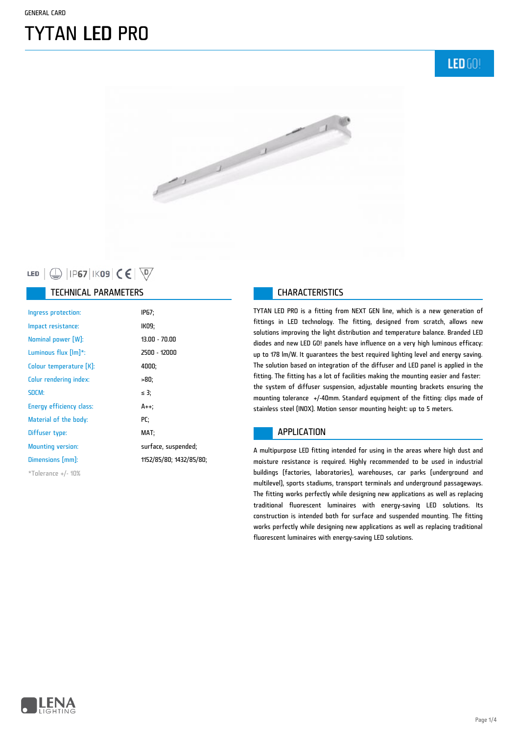# TYTAN LED PRO

**LED GO!** 



### LED  $\bigcirc$  | IP67 | IK09  $\bigcirc$   $\bigcirc$   $\bigcirc$

#### TECHNICAL PARAMETERS **CHARACTERISTICS**

| Ingress protection:      | IP67;                   |
|--------------------------|-------------------------|
| Impact resistance:       | IK09;                   |
| Nominal power [W]:       | $13.00 - 70.00$         |
| Luminous flux $[Im]$ *:  | 2500 - 12000            |
| Colour temperature [K]:  | 4000;                   |
| Colur rendering index:   | -80;                    |
| SDCM:                    | $\leq$ 3;               |
| Energy efficiency class: | A++:                    |
| Material of the body:    | PC:                     |
| Diffuser type:           | MAT:                    |
| <b>Mounting version:</b> | surface, suspended;     |
| Dimensions [mm]:         | 1152/85/80; 1432/85/80; |
| $*$ Tolerance +/- 10%    |                         |

TYTAN LED PRO is a fitting from NEXT GEN line, which is a new generation of fittings in LED technology. The fitting, designed from scratch, allows new solutions improving the light distribution and temperature balance. Branded LED diodes and new LED GO! panels have influence on a very high luminous efficacy: up to 178 lm/W. It guarantees the best required lighting level and energy saving. The solution based on integration of the diffuser and LED panel is applied in the fitting. The fitting has a lot of facilities making the mounting easier and faster: the system of diffuser suspension, adjustable mounting brackets ensuring the mounting tolerance +/-40mm. Standard equipment of the fitting: clips made of stainless steel (INOX). Motion sensor mounting height: up to 5 meters.

#### APPLICATION

A multipurpose LED fitting intended for using in the areas where high dust and moisture resistance is required. Highly recommended to be used in industrial buildings (factories, laboratories), warehouses, car parks (underground and multilevel), sports stadiums, transport terminals and underground passageways. The fitting works perfectly while designing new applications as well as replacing traditional fluorescent luminaires with energy-saving LED solutions. Its construction is intended both for surface and suspended mounting. The fitting works perfectly while designing new applications as well as replacing traditional fluorescent luminaires with energy-saving LED solutions.

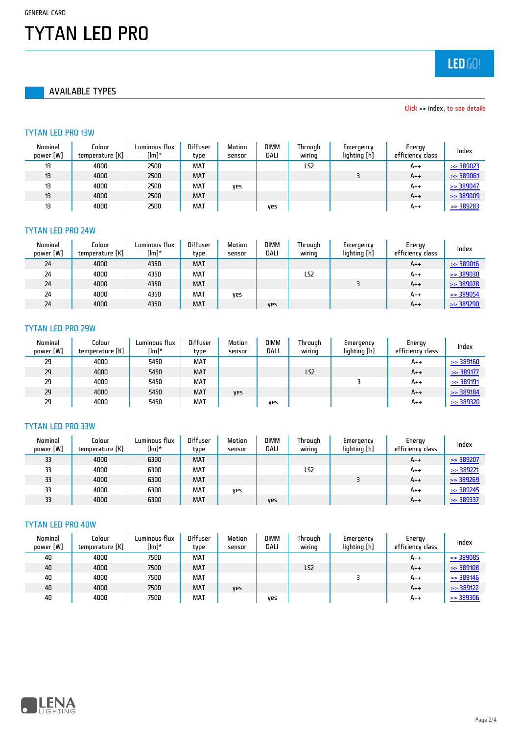GENERAL CARD

# TYTAN LED PRO

AVAILABLE TYPES

LED GO!

#### Click >> index, to see details

#### TYTAN LED PRO 13W

| Nominal<br>power [W] | Colour<br>temperature [K] | Luminous flux<br>$[lm]^*$ | <b>Diffuser</b><br>tvpe | Motion<br>sensor | <b>DIMM</b><br>DALI | Through<br>wiring | Emergency<br>lighting [h] | Energy<br>efficiency class | Index                |
|----------------------|---------------------------|---------------------------|-------------------------|------------------|---------------------|-------------------|---------------------------|----------------------------|----------------------|
| 13                   | 4000                      | 2500                      | <b>MAT</b>              |                  |                     | LS <sub>2</sub>   |                           | $A++$                      | $\Rightarrow$ 389023 |
| 13                   | 4000                      | 2500                      | <b>MAT</b>              |                  |                     |                   |                           | $A++$                      | $\ge$ 389061         |
| 13                   | 4000                      | 2500                      | MAT                     | ves              |                     |                   |                           | A++                        | $\Rightarrow$ 389047 |
| 13                   | 4000                      | 2500                      | <b>MAT</b>              |                  |                     |                   |                           | $A++$                      | $\ge$ 389009         |
| 13                   | 4000                      | 2500                      | <b>MAT</b>              |                  | yes                 |                   |                           | $A++$                      | $\Rightarrow$ 389283 |

#### TYTAN LED PRO 24W

| Nominal<br>power [W] | Colour<br>temperature [K] | Luminous flux<br>$[Im]^*$ | <b>Diffuser</b><br>type | Motion<br>sensor | <b>DIMM</b><br>DALI | Through<br>wiring | Emergency<br>lighting [h] | Energy<br>efficiency class | Index                |
|----------------------|---------------------------|---------------------------|-------------------------|------------------|---------------------|-------------------|---------------------------|----------------------------|----------------------|
| 24                   | 4000                      | 4350                      | <b>MAT</b>              |                  |                     |                   |                           | $A++$                      | $\ge$ 389016         |
| 24                   | 4000                      | 4350                      | <b>MAT</b>              |                  |                     | LS <sub>2</sub>   |                           | $A++$                      | $\ge$ 389030         |
| 24                   | 4000                      | 4350                      | <b>MAT</b>              |                  |                     |                   |                           | $A++$                      | $\ge$ 389078         |
| 24                   | 4000                      | 4350                      | <b>MAT</b>              | ves              |                     |                   |                           | $A++$                      | $\ge$ 389054         |
| 24                   | 4000                      | 4350                      | <b>MAT</b>              |                  | yes                 |                   |                           | $A++$                      | $\Rightarrow$ 389290 |

#### TYTAN LED PRO 29W

| Nominal<br>power [W] | Colour<br>temperature [K] | Luminous flux<br>[lm]* | <b>Diffuser</b><br>type | <b>Motion</b><br>sensor | <b>DIMM</b><br>DALI | Through<br>wirina | Emergency<br>lighting [h] | Energy<br>efficiency class | Index                |
|----------------------|---------------------------|------------------------|-------------------------|-------------------------|---------------------|-------------------|---------------------------|----------------------------|----------------------|
| 29                   | 4000                      | 5450                   | <b>MAT</b>              |                         |                     |                   |                           | $A++$                      | $\ge$ 389160         |
| 29                   | 4000                      | 5450                   | <b>MAT</b>              |                         |                     | LS <sub>2</sub>   |                           | $A++$                      | $\ge$ 389177         |
| 29                   | 4000                      | 5450                   | <b>MAT</b>              |                         |                     |                   |                           | $A++$                      | $\ge$ 389191         |
| 29                   | 4000                      | 5450                   | <b>MAT</b>              | ves                     |                     |                   |                           | $A++$                      | $\ge$ 389184         |
| 29                   | 4000                      | 5450                   | <b>MAT</b>              |                         | ves                 |                   |                           | $A++$                      | $\Rightarrow$ 389320 |

#### TYTAN LED PRO 33W

| Nominal<br>power [W] | Colour<br>temperature [K] | Luminous flux<br>[lm]* | <b>Diffuser</b><br>type | Motion<br>sensor | <b>DIMM</b><br>DALI | Through<br>wiring | Emergency<br>lighting [h] | Energy<br>efficiency class | Index                |
|----------------------|---------------------------|------------------------|-------------------------|------------------|---------------------|-------------------|---------------------------|----------------------------|----------------------|
| 33                   | 4000                      | 6300                   | <b>MAT</b>              |                  |                     |                   |                           | $A++$                      | $\Rightarrow$ 389207 |
| 33                   | 4000                      | 6300                   | <b>MAT</b>              |                  |                     | LS2               |                           | $A++$                      | $\Rightarrow$ 389221 |
| 33                   | 4000                      | 6300                   | <b>MAT</b>              |                  |                     |                   |                           | $A++$                      | $\Rightarrow$ 389269 |
| 33                   | 4000                      | 6300                   | MAT                     | ves              |                     |                   |                           | $A++$                      | $\Rightarrow$ 389245 |
| 33                   | 4000                      | 6300                   | <b>MAT</b>              |                  | <b>VPS</b>          |                   |                           | $A++$                      | $\Rightarrow$ 389337 |

### TYTAN LED PRO 40W

| Nominal<br>power [W] | Colour<br>temperature [K] | Luminous flux<br>$[Im]^*$ | <b>Diffuser</b><br>type | Motion<br>sensor | <b>DIMM</b><br>DALI | Through<br>wiring | Emergency<br>lighting [h] | Energy<br>efficiency class | Index                |
|----------------------|---------------------------|---------------------------|-------------------------|------------------|---------------------|-------------------|---------------------------|----------------------------|----------------------|
| 40                   | 4000                      | 7500                      | MAT                     |                  |                     |                   |                           | A++                        | $\ge$ 389085         |
| 40                   | 4000                      | 7500                      | <b>MAT</b>              |                  |                     | LS <sub>2</sub>   |                           | A++                        | $\ge$ 389108         |
| 40                   | 4000                      | 7500                      | <b>MAT</b>              |                  |                     |                   |                           | A++                        | $\ge$ 389146         |
| 40                   | 4000                      | 7500                      | <b>MAT</b>              | yes              |                     |                   |                           | A++                        | $\Rightarrow$ 389122 |
| 40                   | 4000                      | 7500                      | <b>MAT</b>              |                  | ves                 |                   |                           | A++                        | $\Rightarrow$ 389306 |

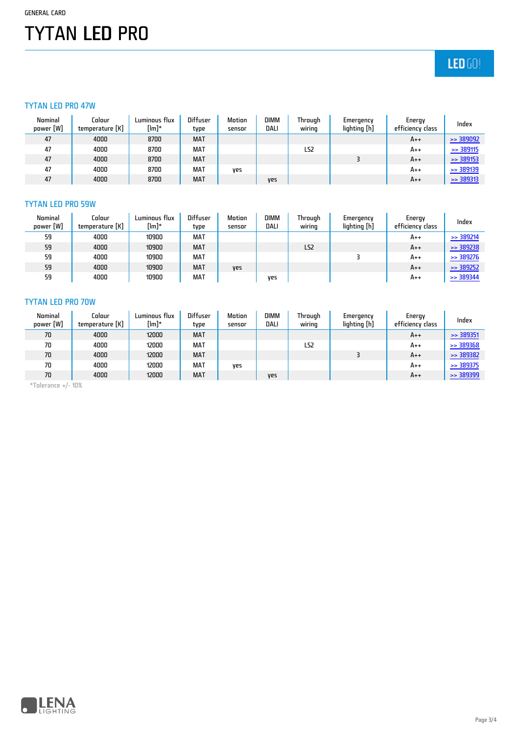# TYTAN LED PRO

### $LED(0)$

#### TYTAN LED PRO 47W

| Nominal<br>power [W] | Colour<br>temperature [K] | Luminous flux<br>$[Im]^*$ | <b>Diffuser</b><br>type | Motion<br>sensor | <b>DIMM</b><br>DALI | Through<br>wirina | Emergency<br>lighting [h] | Energy<br>efficiency class | Index                |
|----------------------|---------------------------|---------------------------|-------------------------|------------------|---------------------|-------------------|---------------------------|----------------------------|----------------------|
| 47                   | 4000                      | 8700                      | <b>MAT</b>              |                  |                     |                   |                           | $A++$                      | $\Rightarrow$ 389092 |
| 47                   | 4000                      | 8700                      | <b>MAT</b>              |                  |                     | LS2               |                           | $A++$                      | $\ge$ 389115         |
| 47                   | 4000                      | 8700                      | <b>MAT</b>              |                  |                     |                   |                           | $A++$                      | $\ge$ 389153         |
| 47                   | 4000                      | 8700                      | MAT                     | ves              |                     |                   |                           | A++                        | $\ge$ 389139         |
| 47                   | 4000                      | 8700                      | <b>MAT</b>              |                  | <b>Ves</b>          |                   |                           | $A++$                      | $\ge$ 389313         |

#### TYTAN LED PRO 59W

| Nominal<br>power [W] | Colour<br>temperature [K] | Luminous flux<br>[lm]* | <b>Diffuser</b><br>type | Motion<br>sensor | <b>DIMM</b><br>DALI | Through<br>wirina | Emergency<br>lighting [h] | Energy<br>efficiency class | Index                |
|----------------------|---------------------------|------------------------|-------------------------|------------------|---------------------|-------------------|---------------------------|----------------------------|----------------------|
| 59                   | 4000                      | 10900                  | <b>MAT</b>              |                  |                     |                   |                           | $A++$                      | $\Rightarrow$ 389214 |
| 59                   | 4000                      | 10900                  | <b>MAT</b>              |                  |                     | LS <sub>2</sub>   |                           | $A++$                      | $\Rightarrow$ 389238 |
| 59                   | 4000                      | 10900                  | <b>MAT</b>              |                  |                     |                   |                           | $A++$                      | $\Rightarrow$ 389276 |
| 59                   | 4000                      | 10900                  | <b>MAT</b>              | yes              |                     |                   |                           | $A++$                      | $\Rightarrow$ 389252 |
| 59                   | 4000                      | 10900                  | <b>MAT</b>              |                  | ves                 |                   |                           | $A++$                      | $\Rightarrow$ 389344 |

#### TYTAN LED PRO 70W

| Nominal<br>power [W] | Colour<br>temperature [K] | Luminous flux<br>$[Im]^*$ | <b>Diffuser</b><br>type | Motion<br>sensor | <b>DIMM</b><br>DALI | Through<br>wiring | Emergency<br>lighting [h] | Energy<br>efficiency class | Index                |
|----------------------|---------------------------|---------------------------|-------------------------|------------------|---------------------|-------------------|---------------------------|----------------------------|----------------------|
| 70                   | 4000                      | 12000                     | <b>MAT</b>              |                  |                     |                   |                           | $A++$                      | $\ge$ 389351         |
| 70                   | 4000                      | 12000                     | MAT                     |                  |                     | LS2               |                           | $A++$                      | $\ge$ 389368         |
| 70                   | 4000                      | 12000                     | <b>MAT</b>              |                  |                     |                   |                           | $A++$                      | $\Rightarrow$ 389382 |
| 70                   | 4000                      | 12000                     | <b>MAT</b>              | ves              |                     |                   |                           | $A++$                      | $\ge$ 389375         |
| 70                   | 4000                      | 12000                     | <b>MAT</b>              |                  | <b>Ves</b>          |                   |                           | $A++$                      | $\ge$ 389399         |

\*Tolerance +/- 10%